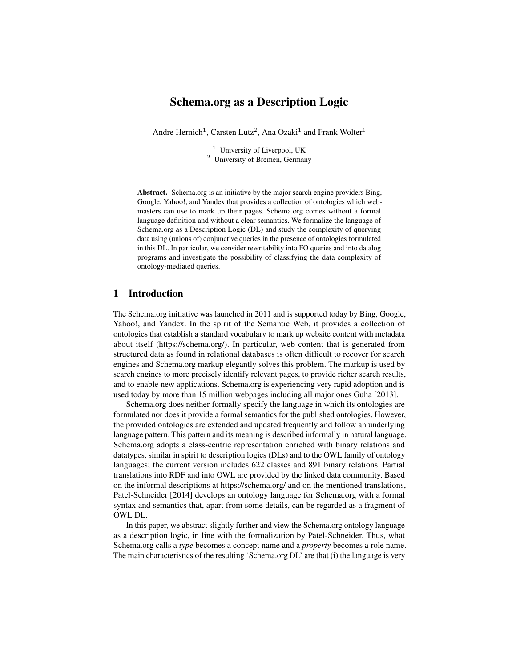# Schema.org as a Description Logic

Andre Hernich<sup>1</sup>, Carsten Lutz<sup>2</sup>, Ana Ozaki<sup>1</sup> and Frank Wolter<sup>1</sup>

<sup>1</sup> University of Liverpool, UK <sup>2</sup> University of Bremen, Germany

Abstract. Schema.org is an initiative by the major search engine providers Bing, Google, Yahoo!, and Yandex that provides a collection of ontologies which webmasters can use to mark up their pages. Schema.org comes without a formal language definition and without a clear semantics. We formalize the language of Schema.org as a Description Logic (DL) and study the complexity of querying data using (unions of) conjunctive queries in the presence of ontologies formulated in this DL. In particular, we consider rewritability into FO queries and into datalog programs and investigate the possibility of classifying the data complexity of ontology-mediated queries.

# 1 Introduction

The Schema.org initiative was launched in 2011 and is supported today by Bing, Google, Yahoo!, and Yandex. In the spirit of the Semantic Web, it provides a collection of ontologies that establish a standard vocabulary to mark up website content with metadata about itself (https://schema.org/). In particular, web content that is generated from structured data as found in relational databases is often difficult to recover for search engines and Schema.org markup elegantly solves this problem. The markup is used by search engines to more precisely identify relevant pages, to provide richer search results, and to enable new applications. Schema.org is experiencing very rapid adoption and is used today by more than 15 million webpages including all major ones Guha [2013].

Schema.org does neither formally specify the language in which its ontologies are formulated nor does it provide a formal semantics for the published ontologies. However, the provided ontologies are extended and updated frequently and follow an underlying language pattern. This pattern and its meaning is described informally in natural language. Schema.org adopts a class-centric representation enriched with binary relations and datatypes, similar in spirit to description logics (DLs) and to the OWL family of ontology languages; the current version includes 622 classes and 891 binary relations. Partial translations into RDF and into OWL are provided by the linked data community. Based on the informal descriptions at https://schema.org/ and on the mentioned translations, Patel-Schneider [2014] develops an ontology language for Schema.org with a formal syntax and semantics that, apart from some details, can be regarded as a fragment of OWL DL.

In this paper, we abstract slightly further and view the Schema.org ontology language as a description logic, in line with the formalization by Patel-Schneider. Thus, what Schema.org calls a *type* becomes a concept name and a *property* becomes a role name. The main characteristics of the resulting 'Schema.org DL' are that (i) the language is very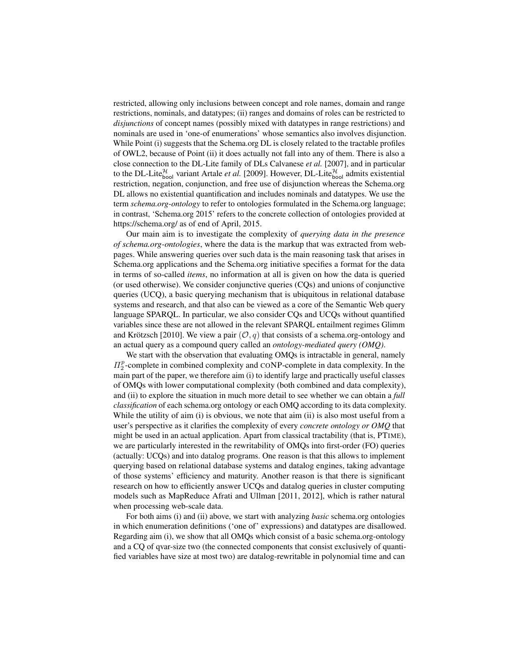restricted, allowing only inclusions between concept and role names, domain and range restrictions, nominals, and datatypes; (ii) ranges and domains of roles can be restricted to *disjunctions* of concept names (possibly mixed with datatypes in range restrictions) and nominals are used in 'one-of enumerations' whose semantics also involves disjunction. While Point (i) suggests that the Schema.org DL is closely related to the tractable profiles of OWL2, because of Point (ii) it does actually not fall into any of them. There is also a close connection to the DL-Lite family of DLs Calvanese *et al.* [2007], and in particular to the DL-Lite $_{\text{bool}}^{\mathcal{H}}$  variant Artale *et al.* [2009]. However, DL-Lite $_{\text{bool}}^{\mathcal{H}}$  admits existential restriction, negation, conjunction, and free use of disjunction whereas the Schema.org DL allows no existential quantification and includes nominals and datatypes. We use the term *schema.org-ontology* to refer to ontologies formulated in the Schema.org language; in contrast, 'Schema.org 2015' refers to the concrete collection of ontologies provided at https://schema.org/ as of end of April, 2015.

Our main aim is to investigate the complexity of *querying data in the presence of schema.org-ontologies*, where the data is the markup that was extracted from webpages. While answering queries over such data is the main reasoning task that arises in Schema.org applications and the Schema.org initiative specifies a format for the data in terms of so-called *items*, no information at all is given on how the data is queried (or used otherwise). We consider conjunctive queries (CQs) and unions of conjunctive queries (UCQ), a basic querying mechanism that is ubiquitous in relational database systems and research, and that also can be viewed as a core of the Semantic Web query language SPARQL. In particular, we also consider CQs and UCQs without quantified variables since these are not allowed in the relevant SPARQL entailment regimes Glimm and Krötzsch [2010]. We view a pair  $(\mathcal{O}, q)$  that consists of a schema.org-ontology and an actual query as a compound query called an *ontology-mediated query (OMQ)*.

We start with the observation that evaluating OMQs is intractable in general, namely  $\Pi_2^p$ -complete in combined complexity and CONP-complete in data complexity. In the main part of the paper, we therefore aim (i) to identify large and practically useful classes of OMQs with lower computational complexity (both combined and data complexity), and (ii) to explore the situation in much more detail to see whether we can obtain a *full classification* of each schema.org ontology or each OMQ according to its data complexity. While the utility of aim (i) is obvious, we note that aim (ii) is also most useful from a user's perspective as it clarifies the complexity of every *concrete ontology or OMQ* that might be used in an actual application. Apart from classical tractability (that is, PTIME), we are particularly interested in the rewritability of OMQs into first-order (FO) queries (actually: UCQs) and into datalog programs. One reason is that this allows to implement querying based on relational database systems and datalog engines, taking advantage of those systems' efficiency and maturity. Another reason is that there is significant research on how to efficiently answer UCQs and datalog queries in cluster computing models such as MapReduce Afrati and Ullman [2011, 2012], which is rather natural when processing web-scale data.

For both aims (i) and (ii) above, we start with analyzing *basic* schema.org ontologies in which enumeration definitions ('one of' expressions) and datatypes are disallowed. Regarding aim (i), we show that all OMQs which consist of a basic schema.org-ontology and a CQ of qvar-size two (the connected components that consist exclusively of quantified variables have size at most two) are datalog-rewritable in polynomial time and can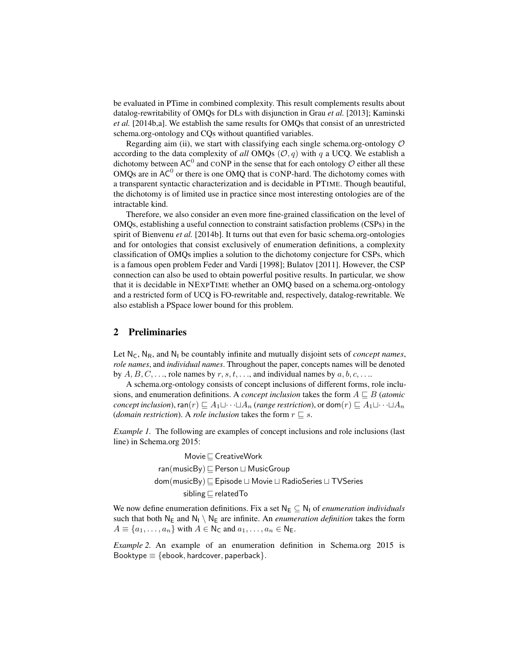be evaluated in PTime in combined complexity. This result complements results about datalog-rewritability of OMQs for DLs with disjunction in Grau *et al.* [2013]; Kaminski *et al.* [2014b,a]. We establish the same results for OMQs that consist of an unrestricted schema.org-ontology and CQs without quantified variables.

Regarding aim (ii), we start with classifying each single schema.org-ontology  $O$ according to the data complexity of *all* OMQs  $(0, q)$  with q a UCQ. We establish a dichotomy between AC<sup>0</sup> and CONP in the sense that for each ontology  $\hat{O}$  either all these OMQs are in  $AC^0$  or there is one OMQ that is CONP-hard. The dichotomy comes with a transparent syntactic characterization and is decidable in PTIME. Though beautiful, the dichotomy is of limited use in practice since most interesting ontologies are of the intractable kind.

Therefore, we also consider an even more fine-grained classification on the level of OMQs, establishing a useful connection to constraint satisfaction problems (CSPs) in the spirit of Bienvenu *et al.* [2014b]. It turns out that even for basic schema.org-ontologies and for ontologies that consist exclusively of enumeration definitions, a complexity classification of OMQs implies a solution to the dichotomy conjecture for CSPs, which is a famous open problem Feder and Vardi [1998]; Bulatov [2011]. However, the CSP connection can also be used to obtain powerful positive results. In particular, we show that it is decidable in NEXPTIME whether an OMQ based on a schema.org-ontology and a restricted form of UCQ is FO-rewritable and, respectively, datalog-rewritable. We also establish a PSpace lower bound for this problem.

# 2 Preliminaries

Let  $N_c$ ,  $N_R$ , and  $N_l$  be countably infinite and mutually disjoint sets of *concept names*, *role names*, and *individual names*. Throughout the paper, concepts names will be denoted by  $A, B, C, \ldots$ , role names by  $r, s, t, \ldots$ , and individual names by  $a, b, c, \ldots$ .

A schema.org-ontology consists of concept inclusions of different forms, role inclusions, and enumeration definitions. A *concept inclusion* takes the form  $A \sqsubset B$  (*atomic concept inclusion*),  $\text{ran}(r) \sqsubseteq A_1 \sqcup \cdots \sqcup A_n$  (*range restriction*), or  $\text{dom}(r) \sqsubseteq A_1 \sqcup \cdots \sqcup A_n$ (*domain restriction*). A *role inclusion* takes the form  $r \sqsubseteq s$ .

*Example 1.* The following are examples of concept inclusions and role inclusions (last line) in Schema.org 2015:

> Movie  $\sqsubseteq$  CreativeWork  $ran(musicBy) \sqsubseteq Person \sqcup MusicGroup$  $dom(musicBy) \sqsubseteq Episode \sqcup Movie \sqcup RadioSeries \sqcup TVSeries$ sibling  $\sqsubset$  related To

We now define enumeration definitions. Fix a set  $N_E \subseteq N_1$  of *enumeration individuals* such that both  $N_E$  and  $N_I \setminus N_E$  are infinite. An *enumeration definition* takes the form  $A \equiv \{a_1, \ldots, a_n\}$  with  $A \in \mathsf{N}_\mathsf{C}$  and  $a_1, \ldots, a_n \in \mathsf{N}_\mathsf{E}$ .

*Example 2.* An example of an enumeration definition in Schema.org 2015 is Booktype  $\equiv$  {ebook, hardcover, paperback}.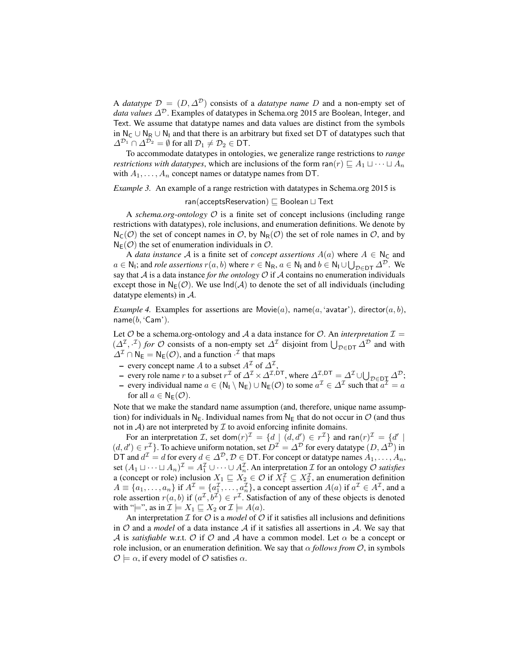A *datatype*  $\mathcal{D} = (D, \Delta^D)$  consists of a *datatype name* D and a non-empty set of *data values*  $\Delta^{\mathcal{D}}$ . Examples of datatypes in Schema.org 2015 are Boolean, Integer, and Text. We assume that datatype names and data values are distinct from the symbols in  $N_C$  ∪  $N_R$  ∪  $N_I$  and that there is an arbitrary but fixed set DT of datatypes such that  $\Delta^{\mathcal{D}_1} \cap \Delta^{\mathcal{D}_2} = \emptyset$  for all  $\mathcal{D}_1 \neq \mathcal{D}_2 \in \mathsf{DT}$ .

To accommodate datatypes in ontologies, we generalize range restrictions to *range restrictions with datatypes*, which are inclusions of the form  $\text{ran}(r) \sqsubseteq A_1 \sqcup \cdots \sqcup A_n$ with  $A_1, \ldots, A_n$  concept names or datatype names from DT.

#### *Example 3.* An example of a range restriction with datatypes in Schema.org 2015 is

ran(acceptsReservation)  $\Box$  Boolean  $\Box$  Text

A *schema.org-ontology* O is a finite set of concept inclusions (including range restrictions with datatypes), role inclusions, and enumeration definitions. We denote by  $N_{\mathsf{C}}(\mathcal{O})$  the set of concept names in  $\mathcal{O}$ , by  $N_{\mathsf{R}}(\mathcal{O})$  the set of role names in  $\mathcal{O}$ , and by  $N_E(\mathcal{O})$  the set of enumeration individuals in  $\mathcal{O}$ .

A *data instance* A is a finite set of *concept assertions*  $A(a)$  where  $A \in N_C$  and  $a \in \mathsf{N}_1$ ; and *role assertions*  $r(a, b)$  where  $r \in \mathsf{N}_\mathsf{R}$ ,  $a \in \mathsf{N}_\mathsf{I}$  and  $b \in \mathsf{N}_\mathsf{I} \cup \bigcup_{\mathcal{D} \in \mathsf{DT}} \Delta^{\mathcal{D}}$ . We say that  $A$  is a data instance *for the ontology*  $O$  if  $A$  contains no enumeration individuals except those in  $N_E(\mathcal{O})$ . We use  $Ind(\mathcal{A})$  to denote the set of all individuals (including datatype elements) in A.

*Example 4.* Examples for assertions are Movie(a), name(a, 'avatar'), director(a, b), name $(b, 'Cam').$ 

Let  $O$  be a schema.org-ontology and  $A$  a data instance for  $O$ . An *interpretation*  $I =$  $(\Delta^{\mathcal{I}}, \cdot^{\mathcal{I}})$  *for*  $\mathcal O$  consists of a non-empty set  $\Delta^{\mathcal{I}}$  disjoint from  $\bigcup_{\mathcal{D}\in\mathsf{DT}}\Delta^{\mathcal{D}}$  and with  $\Delta^{\mathcal{I}} \cap \mathsf{N}_{\mathsf{E}} = \mathsf{N}_{\mathsf{E}}(\mathcal{O})$ , and a function  $\cdot^{\mathcal{I}}$  that maps

- every concept name A to a subset  $A^{\mathcal{I}}$  of  $\Delta^{\mathcal{I}}$ ,
- every role name *r* to a subset  $r^{\mathcal{I}}$  of  $\Delta^{\mathcal{I}} \times \Delta^{\mathcal{I},DT}$ , where  $\Delta^{\mathcal{I},DT} = \Delta^{\mathcal{I}} \cup \bigcup_{\mathcal{D} \in D\mathcal{I}} \Delta^{\mathcal{D}}$ ;
- every individual name  $a \in (N_1 \setminus N_E) \cup N_E(\mathcal{O})$  to some  $a^{\mathcal{I}} \in \Delta^{\mathcal{I}}$  such that  $a^{\mathcal{I}} = a$ for all  $a \in N_F(\mathcal{O})$ .

Note that we make the standard name assumption (and, therefore, unique name assumption) for individuals in N<sub>E</sub>. Individual names from N<sub>E</sub> that do not occur in  $\mathcal{O}$  (and thus not in  $A$ ) are not interpreted by  $I$  to avoid enforcing infinite domains.

For an interpretation *I*, set dom $(r)^{\mathcal{I}} = \{d \mid (d, d') \in r^{\mathcal{I}}\}\$  and  $\text{ran}(r)^{\mathcal{I}} = \{d' \mid (d', d') \in r^{\mathcal{I}}\}\$  $(d, d') \in r^{\mathcal{I}}$ . To achieve uniform notation, set  $D^{\mathcal{I}} = \Delta^{\mathcal{D}}$  for every datatype  $(D, \Delta^{\mathcal{D}})$  in DT and  $d^{\mathcal{I}} = d$  for every  $d \in \Delta^{\mathcal{D}}$ ,  $\mathcal{D} \in$  DT. For concept or datatype names  $A_1, \ldots, A_n$ , set  $(A_1 \sqcup \cdots \sqcup A_n)^{\mathcal{I}} = A_1^{\mathcal{I}} \cup \cdots \cup A_n^{\mathcal{I}}$ . An interpretation  $\mathcal{I}$  for an ontology  $\mathcal{O}$  *satisfies* set  $(A_1 \sqcup \cdots \sqcup A_n)$  =  $A_1 \sqcup \cdots \sqcup A_n$ . An interpretation *L* for an ontology *C* statspies a (concept or role) inclusion  $X_1 \sqsubseteq X_2 \in \mathcal{O}$  if  $X_1^T \subseteq X_2^T$ , an enumeration definition  $A \equiv \{a_1, \ldots, a_n\}$  if  $A^{\mathcal{I}} = \{a_1^{\mathcal{I}}, \ldots, a_n^{\mathcal{I}}\}$ , a concept assertion  $A(a)$  if  $a^{\mathcal{I}} \in A^{\mathcal{I}}$ , and a role assertion  $r(a, b)$  if  $(a^{\mathcal{I}}, b^{\mathcal{I}}) \in r^{\mathcal{I}}$ . Satisfaction of any of these objects is denoted with " $\models$ ", as in  $\mathcal{I} \models X_1 \sqsubseteq X_2$  or  $\mathcal{I} \models A(a)$ .

An interpretation  $I$  for  $O$  is a *model* of  $O$  if it satisfies all inclusions and definitions in O and a *model* of a data instance A if it satisfies all assertions in A. We say that A is *satisfiable* w.r.t. O if O and A have a common model. Let  $\alpha$  be a concept or role inclusion, or an enumeration definition. We say that  $\alpha$  *follows from*  $\mathcal{O}$ , in symbols  $\mathcal{O} \models \alpha$ , if every model of  $\mathcal O$  satisfies  $\alpha$ .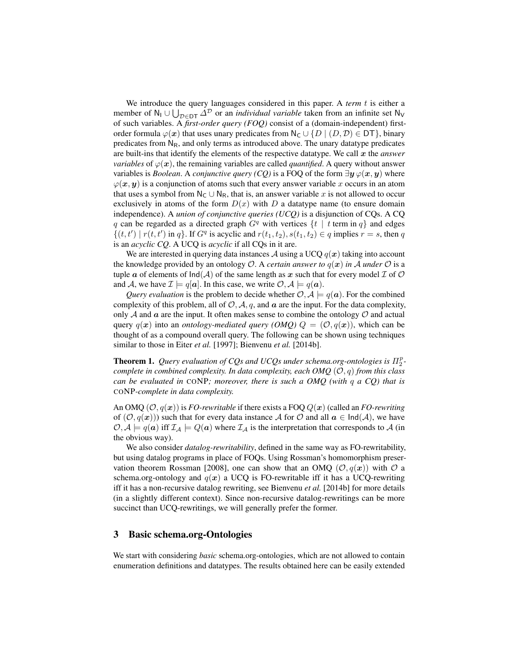We introduce the query languages considered in this paper. A *term* t is either a member of  $N_1 \cup \bigcup_{\mathcal{D} \in \mathcal{D} \mathcal{T}} \Delta^{\mathcal{D}}$  or an *individual variable* taken from an infinite set  $N_V$ of such variables. A *first-order query (FOQ)* consist of a (domain-independent) firstorder formula  $\varphi(x)$  that uses unary predicates from N<sub>C</sub> ∪ {D | (D, D)  $\in$  DT}, binary predicates from  $N_R$ , and only terms as introduced above. The unary datatype predicates are built-ins that identify the elements of the respective datatype. We call  $x$  the *answer variables* of  $\varphi(x)$ , the remaining variables are called *quantified*. A query without answer variables is *Boolean*. A *conjunctive query (CQ)* is a FOQ of the form  $\exists y \varphi(x, y)$  where  $\varphi(x, y)$  is a conjunction of atoms such that every answer variable x occurs in an atom that uses a symbol from  $N_c \cup N_R$ , that is, an answer variable x is not allowed to occur exclusively in atoms of the form  $D(x)$  with D a datatype name (to ensure domain independence). A *union of conjunctive queries (UCQ)* is a disjunction of CQs. A CQ q can be regarded as a directed graph  $G<sup>q</sup>$  with vertices  $\{t \mid t$  term in q and edges  $\{(t, t') | r(t, t') \text{ in } q\}$ . If  $G^q$  is acyclic and  $r(t_1, t_2), s(t_1, t_2) \in q$  implies  $r = s$ , then q is an *acyclic CQ*. A UCQ is *acyclic* if all CQs in it are.

We are interested in querying data instances A using a UCQ  $q(x)$  taking into account the knowledge provided by an ontology  $\mathcal{O}$ . A *certain answer to*  $q(x)$  *in* A *under*  $\mathcal{O}$  is a tuple a of elements of  $Ind(A)$  of the same length as x such that for every model I of O and A, we have  $\mathcal{I} \models q[a]$ . In this case, we write  $\mathcal{O}, \mathcal{A} \models q(a)$ .

*Query evaluation* is the problem to decide whether  $\mathcal{O}, \mathcal{A} \models q(a)$ . For the combined complexity of this problem, all of  $\mathcal{O}, \mathcal{A}, q$ , and  $\boldsymbol{a}$  are the input. For the data complexity, only  $A$  and  $\alpha$  are the input. It often makes sense to combine the ontology  $O$  and actual query  $q(x)$  into an *ontology-mediated query (OMQ)*  $Q = (O, q(x))$ , which can be thought of as a compound overall query. The following can be shown using techniques similar to those in Eiter *et al.* [1997]; Bienvenu *et al.* [2014b].

**Theorem 1.** Query evaluation of CQs and UCQs under schema.org-ontologies is  $\Pi_2^p$ *complete in combined complexity. In data complexity, each OMQ* (O, q) *from this class can be evaluated in* CONP*; moreover, there is such a OMQ (with* q *a CQ) that is* CONP*-complete in data complexity.*

An OMQ  $(\mathcal{O}, q(x))$  is *FO-rewritable* if there exists a FOQ  $Q(x)$  (called an *FO-rewriting* of  $(\mathcal{O}, q(x))$  such that for every data instance A for O and all  $a \in \text{Ind}(\mathcal{A})$ , we have  $\mathcal{O}, \mathcal{A} \models q(\mathbf{a})$  iff  $\mathcal{I}_{\mathcal{A}} \models Q(\mathbf{a})$  where  $\mathcal{I}_{\mathcal{A}}$  is the interpretation that corresponds to A (in the obvious way).

We also consider *datalog-rewritability*, defined in the same way as FO-rewritability, but using datalog programs in place of FOQs. Using Rossman's homomorphism preservation theorem Rossman [2008], one can show that an OMQ  $(0, q(x))$  with O a schema.org-ontology and  $q(x)$  a UCQ is FO-rewritable iff it has a UCQ-rewriting iff it has a non-recursive datalog rewriting, see Bienvenu *et al.* [2014b] for more details (in a slightly different context). Since non-recursive datalog-rewritings can be more succinct than UCQ-rewritings, we will generally prefer the former.

## 3 Basic schema.org-Ontologies

We start with considering *basic* schema.org-ontologies, which are not allowed to contain enumeration definitions and datatypes. The results obtained here can be easily extended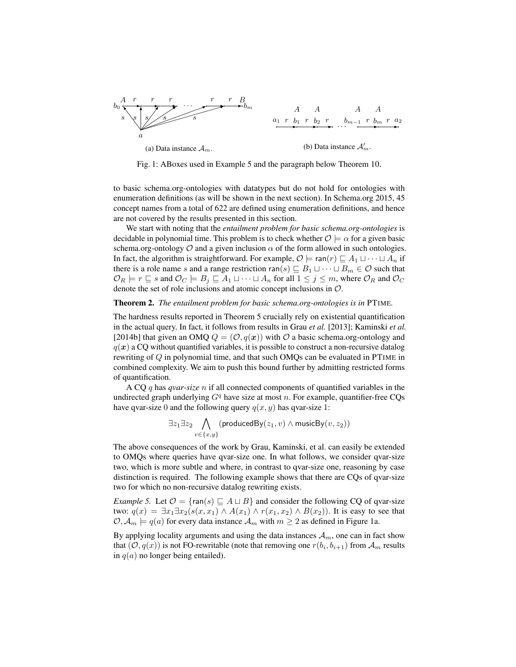

Fig. 1: ABoxes used in Example 5 and the paragraph below Theorem 10.

to basic schema.org-ontologies with datatypes but do not hold for ontologies with enumeration definitions (as will be shown in the next section). In Schema.org 2015, 45 concept names from a total of 622 are defined using enumeration definitions, and hence are not covered by the results presented in this section.

We start with noting that the *entailment problem for basic schema.org-ontologies* is decidable in polynomial time. This problem is to check whether  $\mathcal{O} \models \alpha$  for a given basic schema.org-ontology  $\mathcal O$  and a given inclusion  $\alpha$  of the form allowed in such ontologies. In fact, the algorithm is straightforward. For example,  $\mathcal{O} \models \text{ran}(r) \sqsubseteq A_1 \sqcup \cdots \sqcup A_n$  if there is a role name s and a range restriction ran(s)  $\sqsubseteq B_1 \sqcup \cdots \sqcup B_m \in \mathcal{O}$  such that  $\mathcal{O}_R$   $\models r \sqsubseteq s$  and  $\mathcal{O}_C$   $\models B_j \sqsubseteq A_1 \sqcup \cdots \sqcup A_n$  for all  $1 \leq j \leq m$ , where  $\mathcal{O}_R$  and  $\mathcal{O}_C$ denote the set of role inclusions and atomic concept inclusions in O.

#### Theorem 2. *The entailment problem for basic schema.org-ontologies is in* PTIME*.*

The hardness results reported in Theorem 5 crucially rely on existential quantification in the actual query. In fact, it follows from results in Grau *et al.* [2013]; Kaminski *et al.* [2014b] that given an OMQ  $Q = (\mathcal{O}, q(x))$  with  $\mathcal O$  a basic schema.org-ontology and  $q(x)$  a CQ without quantified variables, it is possible to construct a non-recursive datalog rewriting of  $Q$  in polynomial time, and that such OMQs can be evaluated in PTIME in combined complexity. We aim to push this bound further by admitting restricted forms of quantification.

A CQ q has *qvar-size* n if all connected components of quantified variables in the undirected graph underlying  $G<sup>q</sup>$  have size at most n. For example, quantifier-free CQs have qvar-size 0 and the following query  $q(x, y)$  has qvar-size 1:

$$
\exists z_1 \exists z_2 \bigwedge_{v \in \{x,y\}} (\mathsf{producedBy}(z_1,v) \land \mathsf{musicBy}(v,z_2))
$$

The above consequences of the work by Grau, Kaminski, et al. can easily be extended to OMQs where queries have qvar-size one. In what follows, we consider qvar-size two, which is more subtle and where, in contrast to qvar-size one, reasoning by case distinction is required. The following example shows that there are CQs of qvar-size two for which no non-recursive datalog rewriting exists.

*Example 5.* Let  $\mathcal{O} = \{\text{ran}(s) \sqsubseteq A \sqcup B\}$  and consider the following CQ of qvar-size two:  $q(x) = \exists x_1 \exists x_2 (s(x, x_1) \land A(x_1) \land r(x_1, x_2) \land B(x_2))$ . It is easy to see that  $\mathcal{O}, \mathcal{A}_m \models q(a)$  for every data instance  $\mathcal{A}_m$  with  $m \geq 2$  as defined in Figure 1a.

By applying locality arguments and using the data instances  $A_m$ , one can in fact show that  $(0, q(x))$  is not FO-rewritable (note that removing one  $r(b_i, b_{i+1})$  from  $\mathcal{A}_m$  results in  $q(a)$  no longer being entailed).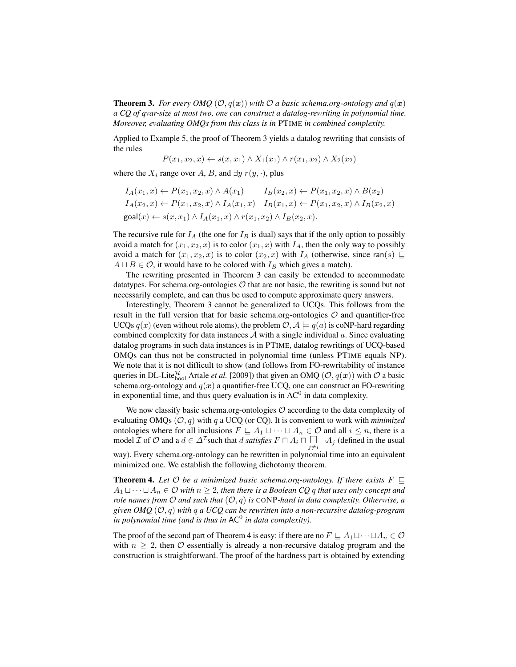**Theorem 3.** *For every OMQ*  $(\mathcal{O}, q(x))$  *with*  $\mathcal{O}$  *a basic schema.org-ontology and*  $q(x)$ *a CQ of qvar-size at most two, one can construct a datalog-rewriting in polynomial time. Moreover, evaluating OMQs from this class is in* PTIME *in combined complexity.*

Applied to Example 5, the proof of Theorem 3 yields a datalog rewriting that consists of the rules

$$
P(x_1, x_2, x) \leftarrow s(x, x_1) \land X_1(x_1) \land r(x_1, x_2) \land X_2(x_2)
$$

where the  $X_i$  range over A, B, and  $\exists y \; r(y, \cdot)$ , plus

$$
I_A(x_1, x) \leftarrow P(x_1, x_2, x) \land A(x_1) \qquad I_B(x_2, x) \leftarrow P(x_1, x_2, x) \land B(x_2)
$$
  
\n
$$
I_A(x_2, x) \leftarrow P(x_1, x_2, x) \land I_A(x_1, x) \qquad I_B(x_1, x) \leftarrow P(x_1, x_2, x) \land I_B(x_2, x)
$$
  
\n
$$
\text{goal}(x) \leftarrow s(x, x_1) \land I_A(x_1, x) \land r(x_1, x_2) \land I_B(x_2, x).
$$

The recursive rule for  $I_A$  (the one for  $I_B$  is dual) says that if the only option to possibly avoid a match for  $(x_1, x_2, x)$  is to color  $(x_1, x)$  with  $I_A$ , then the only way to possibly avoid a match for  $(x_1, x_2, x)$  is to color  $(x_2, x)$  with  $I_A$  (otherwise, since ran(s)  $\sqsubseteq$  $A \sqcup B \in \mathcal{O}$ , it would have to be colored with  $I_B$  which gives a match).

The rewriting presented in Theorem 3 can easily be extended to accommodate datatypes. For schema.org-ontologies  $\mathcal O$  that are not basic, the rewriting is sound but not necessarily complete, and can thus be used to compute approximate query answers.

Interestingly, Theorem 3 cannot be generalized to UCQs. This follows from the result in the full version that for basic schema.org-ontologies  $\mathcal O$  and quantifier-free UCQs  $q(x)$  (even without role atoms), the problem  $\mathcal{O}, \mathcal{A} \models q(a)$  is coNP-hard regarding combined complexity for data instances  $\mathcal A$  with a single individual  $a$ . Since evaluating datalog programs in such data instances is in PTIME, datalog rewritings of UCQ-based OMQs can thus not be constructed in polynomial time (unless PTIME equals NP). We note that it is not difficult to show (and follows from FO-rewritability of instance queries in DL-Lite $_{bool}^{\mathcal{H}}$  Artale *et al.* [2009]) that given an OMQ  $(\mathcal{O}, q(x))$  with  $\mathcal O$  a basic schema.org-ontology and  $q(x)$  a quantifier-free UCQ, one can construct an FO-rewriting in exponential time, and thus query evaluation is in  $AC<sup>0</sup>$  in data complexity.

We now classify basic schema.org-ontologies  $\mathcal O$  according to the data complexity of evaluating OMQs  $(O, q)$  with q a UCQ (or CQ). It is convenient to work with *minimized* ontologies where for all inclusions  $F \sqsubseteq A_1 \sqcup \cdots \sqcup A_n \in \mathcal{O}$  and all  $i \leq n$ , there is a model  $\mathcal I$  of  $\mathcal O$  and a  $d \in \Delta^{\mathcal I}$  such that  $d$  *satisfies*  $F \cap A_i \cap \prod_{j \neq i} \neg A_j$  (defined in the usual way). Every schema.org-ontology can be rewritten in polynomial time into an equivalent minimized one. We establish the following dichotomy theorem.

**Theorem 4.** Let  $\mathcal O$  be a minimized basic schema.org-ontology. If there exists  $F \sqsubseteq$  $A_1 \sqcup \cdots \sqcup A_n \in \mathcal{O}$  with  $n \geq 2$ , then there is a Boolean CQ q that uses only concept and *role names from* O *and such that* (O, q) *is* CONP*-hard in data complexity. Otherwise, a given OMQ* (O, q) *with* q *a UCQ can be rewritten into a non-recursive datalog-program* in polynomial time (and is thus in AC<sup>0</sup> in data complexity).

The proof of the second part of Theorem 4 is easy: if there are no  $F \sqsubseteq A_1 \sqcup \cdots \sqcup A_n \in \mathcal{O}$ with  $n \geq 2$ , then O essentially is already a non-recursive datalog program and the construction is straightforward. The proof of the hardness part is obtained by extending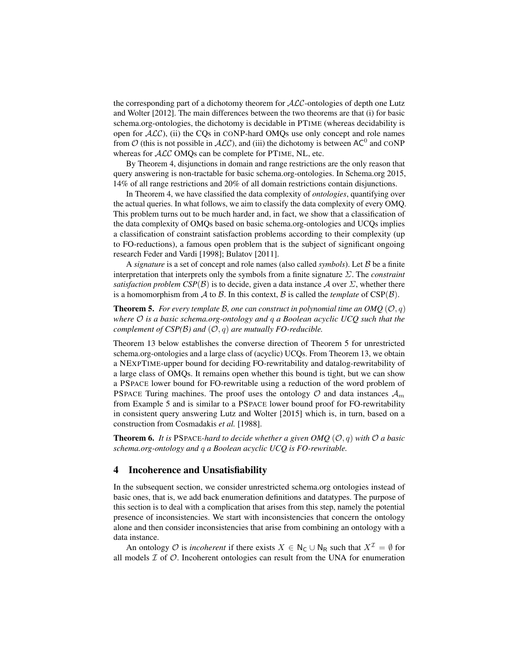the corresponding part of a dichotomy theorem for  $ALC$ -ontologies of depth one Lutz and Wolter [2012]. The main differences between the two theorems are that (i) for basic schema.org-ontologies, the dichotomy is decidable in PTIME (whereas decidability is open for  $ALC$ ), (ii) the CQs in CONP-hard OMQs use only concept and role names from  $O$  (this is not possible in  $ALC$ ), and (iii) the dichotomy is between AC<sup>0</sup> and CONP whereas for  $ALC$  OMQs can be complete for PTIME, NL, etc.

By Theorem 4, disjunctions in domain and range restrictions are the only reason that query answering is non-tractable for basic schema.org-ontologies. In Schema.org 2015, 14% of all range restrictions and 20% of all domain restrictions contain disjunctions.

In Theorem 4, we have classified the data complexity of *ontologies*, quantifying over the actual queries. In what follows, we aim to classify the data complexity of every OMQ. This problem turns out to be much harder and, in fact, we show that a classification of the data complexity of OMQs based on basic schema.org-ontologies and UCQs implies a classification of constraint satisfaction problems according to their complexity (up to FO-reductions), a famous open problem that is the subject of significant ongoing research Feder and Vardi [1998]; Bulatov [2011].

A *signature* is a set of concept and role names (also called *symbols*). Let B be a finite interpretation that interprets only the symbols from a finite signature Σ. The *constraint satisfaction problem CSP(B)* is to decide, given a data instance A over  $\Sigma$ , whether there is a homomorphism from  $\mathcal A$  to  $\mathcal B$ . In this context,  $\mathcal B$  is called the *template* of  $CSP(\mathcal B)$ .

**Theorem 5.** For every template B, one can construct in polynomial time an OMO  $(0, q)$ *where* O *is a basic schema.org-ontology and* q *a Boolean acyclic UCQ such that the complement of CSP(B) and*  $(O, q)$  *are mutually FO-reducible.* 

Theorem 13 below establishes the converse direction of Theorem 5 for unrestricted schema.org-ontologies and a large class of (acyclic) UCQs. From Theorem 13, we obtain a NEXPTIME-upper bound for deciding FO-rewritability and datalog-rewritability of a large class of OMQs. It remains open whether this bound is tight, but we can show a PSPACE lower bound for FO-rewritable using a reduction of the word problem of PSPACE Turing machines. The proof uses the ontology  $O$  and data instances  $A_m$ from Example 5 and is similar to a PSPACE lower bound proof for FO-rewritability in consistent query answering Lutz and Wolter [2015] which is, in turn, based on a construction from Cosmadakis *et al.* [1988].

**Theorem 6.** It is PSPACE-hard to decide whether a given OMO  $(\mathcal{O}, q)$  with  $\mathcal{O}$  a basic *schema.org-ontology and* q *a Boolean acyclic UCQ is FO-rewritable.*

## 4 Incoherence and Unsatisfiability

In the subsequent section, we consider unrestricted schema.org ontologies instead of basic ones, that is, we add back enumeration definitions and datatypes. The purpose of this section is to deal with a complication that arises from this step, namely the potential presence of inconsistencies. We start with inconsistencies that concern the ontology alone and then consider inconsistencies that arise from combining an ontology with a data instance.

An ontology O is *incoherent* if there exists  $X \in N_{\mathbb{C}} \cup N_{\mathbb{R}}$  such that  $X^{\mathcal{I}} = \emptyset$  for all models  $\mathcal I$  of  $\mathcal O$ . Incoherent ontologies can result from the UNA for enumeration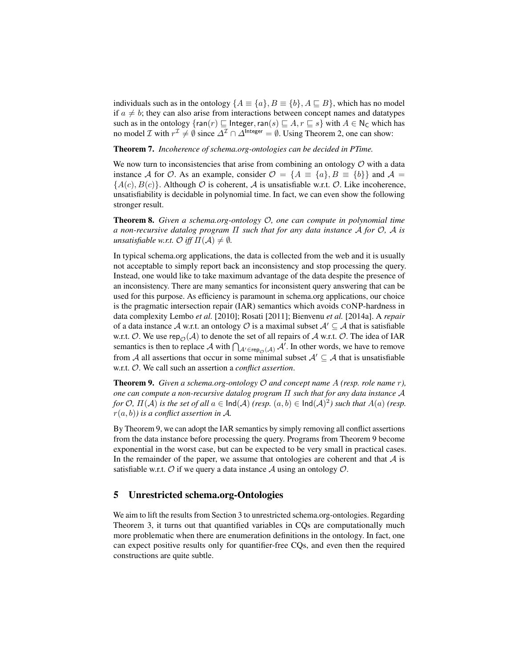individuals such as in the ontology  $\{A \equiv \{a\}, B \equiv \{b\}, A \sqsubseteq B\}$ , which has no model if  $a \neq b$ ; they can also arise from interactions between concept names and datatypes such as in the ontology  $\{\text{ran}(r) \sqsubseteq \text{Integer}, \text{ran}(s) \sqsubseteq A, r \sqsubseteq s\}$  with  $A \in N_{\mathsf{C}}$  which has no model *I* with  $r^{\mathcal{I}} \neq \emptyset$  since  $\Delta^{\mathcal{I}} \cap \Delta^{\text{Integer}} = \emptyset$ . Using Theorem 2, one can show:

Theorem 7. *Incoherence of schema.org-ontologies can be decided in PTime.*

We now turn to inconsistencies that arise from combining an ontology  $\mathcal O$  with a data instance A for O. As an example, consider  $\mathcal{O} = \{A \equiv \{a\}, B \equiv \{b\}\}\$ and  $\mathcal{A} =$  ${A(c), B(c)}$ . Although O is coherent, A is unsatisfiable w.r.t. O. Like incoherence, unsatisfiability is decidable in polynomial time. In fact, we can even show the following stronger result.

Theorem 8. *Given a schema.org-ontology* O*, one can compute in polynomial time a non-recursive datalog program* Π *such that for any data instance* A *for* O*,* A *is unsatisfiable w.r.t.*  $\mathcal{O}$  *iff*  $\Pi(\mathcal{A}) \neq \emptyset$ *.* 

In typical schema.org applications, the data is collected from the web and it is usually not acceptable to simply report back an inconsistency and stop processing the query. Instead, one would like to take maximum advantage of the data despite the presence of an inconsistency. There are many semantics for inconsistent query answering that can be used for this purpose. As efficiency is paramount in schema.org applications, our choice is the pragmatic intersection repair (IAR) semantics which avoids CONP-hardness in data complexity Lembo *et al.* [2010]; Rosati [2011]; Bienvenu *et al.* [2014a]. A *repair* of a data instance A w.r.t. an ontology O is a maximal subset  $A' \subseteq A$  that is satisfiable w.r.t. O. We use rep<sub>O</sub>(A) to denote the set of all repairs of A w.r.t. O. The idea of IAR semantics is then to replace A with  $\bigcap_{A' \in \text{rep}_{\mathcal{O}}(A)} A'$ . In other words, we have to remove from A all assertions that occur in some minimal subset  $A' \subseteq A$  that is unsatisfiable w.r.t. O. We call such an assertion a *conflict assertion*.

Theorem 9. *Given a schema.org-ontology* O *and concept name* A *(resp. role name* r*), one can compute a non-recursive datalog program* Π *such that for any data instance* A *for*  $\mathcal{O}$ *,*  $\Pi(\mathcal{A})$  *is the set of all*  $a \in \text{Ind}(\mathcal{A})$  *(resp.*  $(a, b) \in \text{Ind}(\mathcal{A})^2$ *) such that*  $A(a)$  *(resp.* r(a, b)*) is a conflict assertion in* A*.*

By Theorem 9, we can adopt the IAR semantics by simply removing all conflict assertions from the data instance before processing the query. Programs from Theorem 9 become exponential in the worst case, but can be expected to be very small in practical cases. In the remainder of the paper, we assume that ontologies are coherent and that  $A$  is satisfiable w.r.t.  $\mathcal O$  if we query a data instance  $\mathcal A$  using an ontology  $\mathcal O$ .

# 5 Unrestricted schema.org-Ontologies

We aim to lift the results from Section 3 to unrestricted schema.org-ontologies. Regarding Theorem 3, it turns out that quantified variables in CQs are computationally much more problematic when there are enumeration definitions in the ontology. In fact, one can expect positive results only for quantifier-free CQs, and even then the required constructions are quite subtle.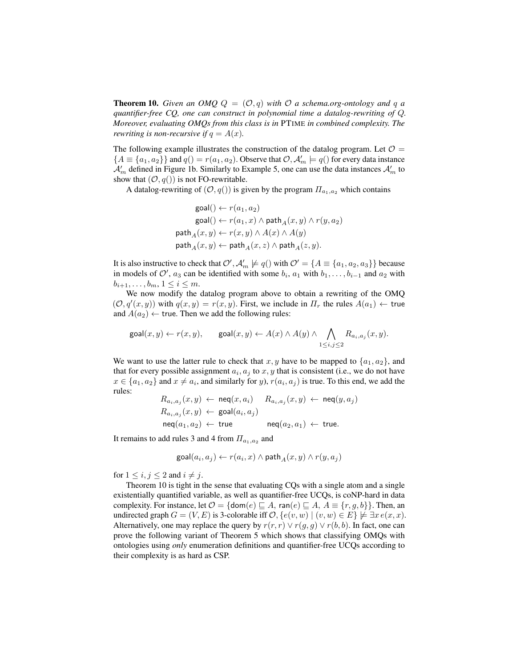**Theorem 10.** *Given an OMQ*  $Q = (O, q)$  *with*  $O$  *a schema.org-ontology and*  $q$  *a quantifier-free CQ, one can construct in polynomial time a datalog-rewriting of* Q*. Moreover, evaluating OMQs from this class is in* PTIME *in combined complexity. The rewriting is non-recursive if*  $q = A(x)$ *.* 

The following example illustrates the construction of the datalog program. Let  $\mathcal{O} =$  ${A \equiv {a_1, a_2}}$  and  $q() = r(a_1, a_2)$ . Observe that  $\mathcal{O}, \mathcal{A}'_m \models q()$  for every data instance  $\mathcal{A}'_m$  defined in Figure 1b. Similarly to Example 5, one can use the data instances  $\mathcal{A}'_m$  to show that  $(0, q()$  is not FO-rewritable.

A datalog-rewriting of  $(0, q()$  is given by the program  $\Pi_{a_1, a_2}$  which contains

$$
\begin{aligned} \text{goal}() &\leftarrow r(a_1,a_2) \\ \text{goal}() &\leftarrow r(a_1,x) \land \text{path}_A(x,y) \land r(y,a_2) \\ \text{path}_A(x,y) &\leftarrow r(x,y) \land A(x) \land A(y) \\ \text{path}_A(x,y) &\leftarrow \text{path}_A(x,z) \land \text{path}_A(z,y). \end{aligned}
$$

It is also instructive to check that  $\mathcal{O}', \mathcal{A}'_m \not\models q()$  with  $\mathcal{O}' = \{A \equiv \{a_1, a_2, a_3\}\}\)$  because in models of  $\mathcal{O}'$ ,  $a_3$  can be identified with some  $b_i$ ,  $a_1$  with  $b_1, \ldots, b_{i-1}$  and  $a_2$  with  $b_{i+1}, \ldots, b_m, 1 \leq i \leq m$ .

We now modify the datalog program above to obtain a rewriting of the OMQ  $(\mathcal{O}, q'(x, y))$  with  $q(x, y) = r(x, y)$ . First, we include in  $\Pi_r$  the rules  $A(a_1) \leftarrow$  true and  $A(a_2) \leftarrow$  true. Then we add the following rules:

$$
\text{goal}(x,y) \leftarrow r(x,y), \quad \quad \text{goal}(x,y) \leftarrow A(x) \land A(y) \land \bigwedge_{1 \leq i,j \leq 2} R_{a_i,a_j}(x,y).
$$

We want to use the latter rule to check that  $x, y$  have to be mapped to  $\{a_1, a_2\}$ , and that for every possible assignment  $a_i$ ,  $a_j$  to  $x, y$  that is consistent (i.e., we do not have  $x \in \{a_1, a_2\}$  and  $x \neq a_i$ , and similarly for y),  $r(a_i, a_j)$  is true. To this end, we add the rules:

$$
R_{a_i, a_j}(x, y) \leftarrow \text{neq}(x, a_i) \quad R_{a_i, a_j}(x, y) \leftarrow \text{neq}(y, a_j)
$$
  
\n
$$
R_{a_i, a_j}(x, y) \leftarrow \text{goal}(a_i, a_j)
$$
  
\n
$$
\text{neq}(a_1, a_2) \leftarrow \text{true} \quad \text{neq}(a_2, a_1) \leftarrow \text{true}.
$$

It remains to add rules 3 and 4 from  $\Pi_{a_1,a_2}$  and

$$
\text{goal}(a_i,a_j) \leftarrow r(a_i,x) \land \text{path}_A(x,y) \land r(y,a_j)
$$

for  $1 \leq i, j \leq 2$  and  $i \neq j$ .

Theorem 10 is tight in the sense that evaluating CQs with a single atom and a single existentially quantified variable, as well as quantifier-free UCQs, is coNP-hard in data complexity. For instance, let  $\mathcal{O} = \{ \text{dom}(e) \sqsubseteq A, \text{ran}(e) \sqsubseteq A, A \equiv \{r, g, b\} \}$ . Then, an undirected graph  $G = (V, E)$  is 3-colorable iff  $\mathcal{O}, \{e(v, w) \mid (v, w) \in E\} \not\models \exists x \, e(x, x)$ . Alternatively, one may replace the query by  $r(r, r) \vee r(g, g) \vee r(b, b)$ . In fact, one can prove the following variant of Theorem 5 which shows that classifying OMQs with ontologies using *only* enumeration definitions and quantifier-free UCQs according to their complexity is as hard as CSP.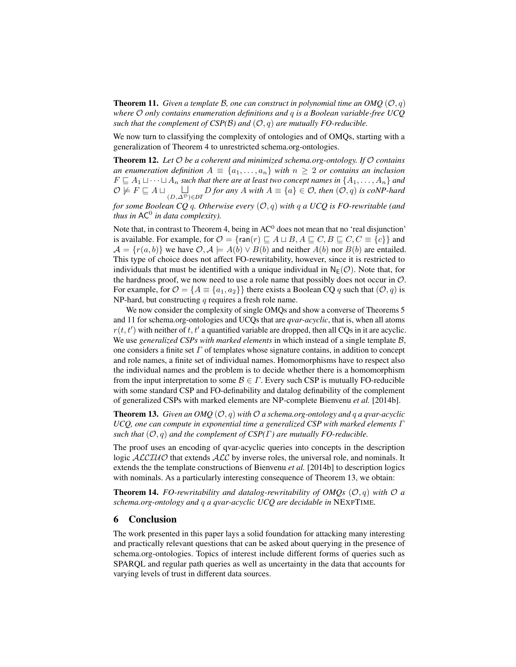**Theorem 11.** *Given a template B, one can construct in polynomial time an OMQ*  $(\mathcal{O}, q)$ *where* O *only contains enumeration definitions and* q *is a Boolean variable-free UCQ such that the complement of CSP(B) and*  $(O, q)$  *are mutually FO-reducible.* 

We now turn to classifying the complexity of ontologies and of OMQs, starting with a generalization of Theorem 4 to unrestricted schema.org-ontologies.

Theorem 12. *Let* O *be a coherent and minimized schema.org-ontology. If* O *contains an enumeration definition*  $A \equiv \{a_1, \ldots, a_n\}$  *with*  $n \geq 2$  *or contains an inclusion*  $F \sqsubseteq A_1 \sqcup \cdots \sqcup A_n$  such that there are at least two concept names in  $\{A_1, \ldots, A_n\}$  and  $\mathcal{O}$   $\overline{\nvDash F}$   $\sqsubseteq$   $A \sqcup \bigcup_{(D,\Delta^D) \in DT} D$  *for any*  $A$  *with*  $A \equiv \{a\} \in \mathcal{O}$ *, then*  $(\mathcal{O}, q)$  *is coNP-hard* 

*for some Boolean CQ* q*. Otherwise every* (O, q) *with* q *a UCQ is FO-rewritable (and thus in* AC<sup>0</sup> *in data complexity).*

Note that, in contrast to Theorem 4, being in  $AC^0$  does not mean that no 'real disjunction' is available. For example, for  $\mathcal{O} = \{\text{ran}(r) \sqsubseteq A \sqcup B, A \sqsubseteq C, B \sqsubseteq C, C \equiv \{c\}\}\$ and  $A = \{r(a, b)\}\$ we have  $\mathcal{O}, \mathcal{A} \models A(b) \vee B(b)$  and neither  $A(b)$  nor  $B(b)$  are entailed. This type of choice does not affect FO-rewritability, however, since it is restricted to individuals that must be identified with a unique individual in  $N_F(\mathcal{O})$ . Note that, for the hardness proof, we now need to use a role name that possibly does not occur in  $\mathcal{O}$ . For example, for  $\mathcal{O} = \{A \equiv \{a_1, a_2\}\}\$  there exists a Boolean CQ q such that  $(\mathcal{O}, q)$  is NP-hard, but constructing  $q$  requires a fresh role name.

We now consider the complexity of single OMQs and show a converse of Theorems 5 and 11 for schema.org-ontologies and UCQs that are *qvar-acyclic*, that is, when all atoms  $r(t, t')$  with neither of t, t' a quantified variable are dropped, then all CQs in it are acyclic. We use *generalized CSPs with marked elements* in which instead of a single template B, one considers a finite set  $\Gamma$  of templates whose signature contains, in addition to concept and role names, a finite set of individual names. Homomorphisms have to respect also the individual names and the problem is to decide whether there is a homomorphism from the input interpretation to some  $\mathcal{B} \in \Gamma$ . Every such CSP is mutually FO-reducible with some standard CSP and FO-definability and datalog definability of the complement of generalized CSPs with marked elements are NP-complete Bienvenu *et al.* [2014b].

**Theorem 13.** *Given an OMQ*  $(\mathcal{O}, q)$  *with*  $\mathcal{O}$  *a schema.org-ontology and q a qvar-acyclic UCQ, one can compute in exponential time a generalized CSP with marked elements* Γ *such that*  $(O, q)$  *and the complement of CSP(* $\Gamma$ *) are mutually FO-reducible.* 

The proof uses an encoding of qvar-acyclic queries into concepts in the description logic ALCIUO that extends ALC by inverse roles, the universal role, and nominals. It extends the the template constructions of Bienvenu *et al.* [2014b] to description logics with nominals. As a particularly interesting consequence of Theorem 13, we obtain:

**Theorem 14.** *FO-rewritability and datalog-rewritability of OMQs*  $(\mathcal{O}, q)$  *with*  $\mathcal{O}$  *a schema.org-ontology and* q *a qvar-acyclic UCQ are decidable in* NEXPTIME*.*

# 6 Conclusion

The work presented in this paper lays a solid foundation for attacking many interesting and practically relevant questions that can be asked about querying in the presence of schema.org-ontologies. Topics of interest include different forms of queries such as SPARQL and regular path queries as well as uncertainty in the data that accounts for varying levels of trust in different data sources.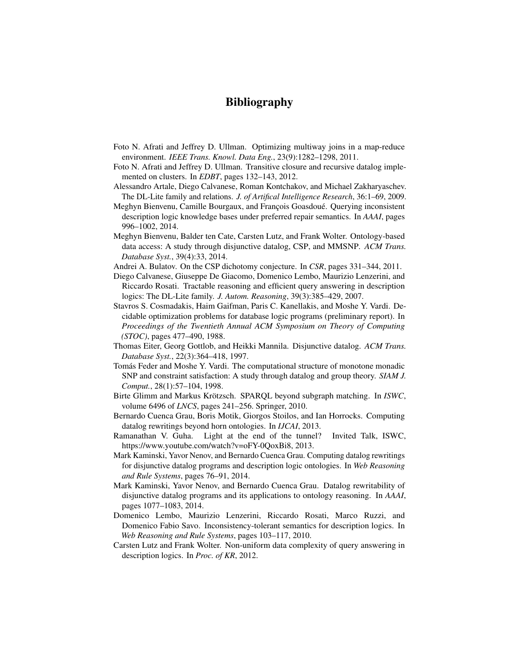# Bibliography

- Foto N. Afrati and Jeffrey D. Ullman. Optimizing multiway joins in a map-reduce environment. *IEEE Trans. Knowl. Data Eng.*, 23(9):1282–1298, 2011.
- Foto N. Afrati and Jeffrey D. Ullman. Transitive closure and recursive datalog implemented on clusters. In *EDBT*, pages 132–143, 2012.
- Alessandro Artale, Diego Calvanese, Roman Kontchakov, and Michael Zakharyaschev. The DL-Lite family and relations. *J. of Artifical Intelligence Research*, 36:1–69, 2009.
- Meghyn Bienvenu, Camille Bourgaux, and François Goasdoué. Querying inconsistent description logic knowledge bases under preferred repair semantics. In *AAAI*, pages 996–1002, 2014.
- Meghyn Bienvenu, Balder ten Cate, Carsten Lutz, and Frank Wolter. Ontology-based data access: A study through disjunctive datalog, CSP, and MMSNP. *ACM Trans. Database Syst.*, 39(4):33, 2014.
- Andrei A. Bulatov. On the CSP dichotomy conjecture. In *CSR*, pages 331–344, 2011.
- Diego Calvanese, Giuseppe De Giacomo, Domenico Lembo, Maurizio Lenzerini, and Riccardo Rosati. Tractable reasoning and efficient query answering in description logics: The DL-Lite family. *J. Autom. Reasoning*, 39(3):385–429, 2007.
- Stavros S. Cosmadakis, Haim Gaifman, Paris C. Kanellakis, and Moshe Y. Vardi. Decidable optimization problems for database logic programs (preliminary report). In *Proceedings of the Twentieth Annual ACM Symposium on Theory of Computing (STOC)*, pages 477–490, 1988.
- Thomas Eiter, Georg Gottlob, and Heikki Mannila. Disjunctive datalog. *ACM Trans. Database Syst.*, 22(3):364–418, 1997.
- Tomás Feder and Moshe Y. Vardi. The computational structure of monotone monadic SNP and constraint satisfaction: A study through datalog and group theory. *SIAM J. Comput.*, 28(1):57–104, 1998.
- Birte Glimm and Markus Krötzsch. SPAROL beyond subgraph matching. In *ISWC*, volume 6496 of *LNCS*, pages 241–256. Springer, 2010.
- Bernardo Cuenca Grau, Boris Motik, Giorgos Stoilos, and Ian Horrocks. Computing datalog rewritings beyond horn ontologies. In *IJCAI*, 2013.
- Ramanathan V. Guha. Light at the end of the tunnel? Invited Talk, ISWC, https://www.youtube.com/watch?v=oFY-0QoxBi8, 2013.
- Mark Kaminski, Yavor Nenov, and Bernardo Cuenca Grau. Computing datalog rewritings for disjunctive datalog programs and description logic ontologies. In *Web Reasoning and Rule Systems*, pages 76–91, 2014.
- Mark Kaminski, Yavor Nenov, and Bernardo Cuenca Grau. Datalog rewritability of disjunctive datalog programs and its applications to ontology reasoning. In *AAAI*, pages 1077–1083, 2014.
- Domenico Lembo, Maurizio Lenzerini, Riccardo Rosati, Marco Ruzzi, and Domenico Fabio Savo. Inconsistency-tolerant semantics for description logics. In *Web Reasoning and Rule Systems*, pages 103–117, 2010.
- Carsten Lutz and Frank Wolter. Non-uniform data complexity of query answering in description logics. In *Proc. of KR*, 2012.